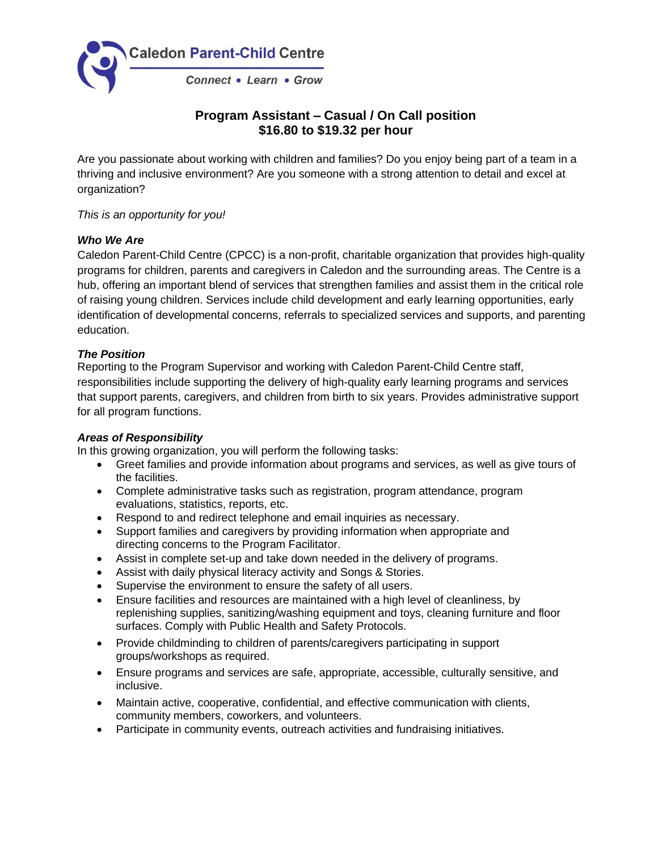

# **Program Assistant – Casual / On Call position \$16.80 to \$19.32 per hour**

Are you passionate about working with children and families? Do you enjoy being part of a team in a thriving and inclusive environment? Are you someone with a strong attention to detail and excel at organization?

*This is an opportunity for you!*

## *Who We Are*

Caledon Parent-Child Centre (CPCC) is a non-profit, charitable organization that provides high-quality programs for children, parents and caregivers in Caledon and the surrounding areas. The Centre is a hub, offering an important blend of services that strengthen families and assist them in the critical role of raising young children. Services include child development and early learning opportunities, early identification of developmental concerns, referrals to specialized services and supports, and parenting education.

### *The Position*

Reporting to the Program Supervisor and working with Caledon Parent-Child Centre staff, responsibilities include supporting the delivery of high-quality early learning programs and services that support parents, caregivers, and children from birth to six years. Provides administrative support for all program functions.

#### *Areas of Responsibility*

In this growing organization, you will perform the following tasks:

- Greet families and provide information about programs and services, as well as give tours of the facilities.
- Complete administrative tasks such as registration, program attendance, program evaluations, statistics, reports, etc.
- Respond to and redirect telephone and email inquiries as necessary.
- Support families and caregivers by providing information when appropriate and directing concerns to the Program Facilitator.
- Assist in complete set-up and take down needed in the delivery of programs.
- Assist with daily physical literacy activity and Songs & Stories.
- Supervise the environment to ensure the safety of all users.
- Ensure facilities and resources are maintained with a high level of cleanliness, by replenishing supplies, sanitizing/washing equipment and toys, cleaning furniture and floor surfaces. Comply with Public Health and Safety Protocols.
- Provide childminding to children of parents/caregivers participating in support groups/workshops as required.
- Ensure programs and services are safe, appropriate, accessible, culturally sensitive, and inclusive.
- Maintain active, cooperative, confidential, and effective communication with clients, community members, coworkers, and volunteers.
- Participate in community events, outreach activities and fundraising initiatives.